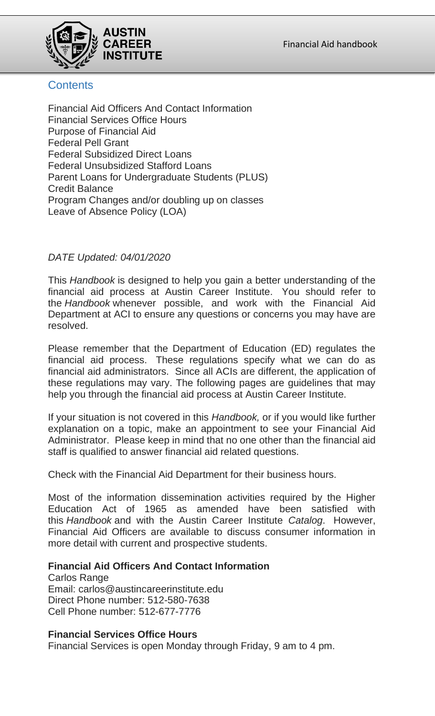

# **Contents**

Financial Aid Officers And Contact Information Financial Services Office Hours Purpose of Financial Aid Federal Pell Grant Federal Subsidized Direct Loans Federal Unsubsidized Stafford Loans Parent Loans for Undergraduate Students (PLUS) Credit Balance Program Changes and/or doubling up on classes Leave of Absence Policy (LOA)

## *DATE Updated: 04/01/2020*

This *Handbook* is designed to help you gain a better understanding of the financial aid process at Austin Career Institute. You should refer to the *Handbook* whenever possible, and work with the Financial Aid Department at ACI to ensure any questions or concerns you may have are resolved.

Please remember that the Department of Education (ED) regulates the financial aid process. These regulations specify what we can do as financial aid administrators. Since all ACIs are different, the application of these regulations may vary. The following pages are guidelines that may help you through the financial aid process at Austin Career Institute.

If your situation is not covered in this *Handbook,* or if you would like further explanation on a topic, make an appointment to see your Financial Aid Administrator. Please keep in mind that no one other than the financial aid staff is qualified to answer financial aid related questions.

Check with the Financial Aid Department for their business hours.

Most of the information dissemination activities required by the Higher Education Act of 1965 as amended have been satisfied with this *Handbook* and with the Austin Career Institute *Catalog*. However, Financial Aid Officers are available to discuss consumer information in more detail with current and prospective students.

### **Financial Aid Officers And Contact Information**

Carlos Range Email: [carlos@austincareerinstitute.edu](mailto:carlos@austincareerinstitute.edu) Direct Phone number: 512-580-7638 Cell Phone number: 512-677-7776

### **Financial Services Office Hours**

Financial Services is open Monday through Friday, 9 am to 4 pm.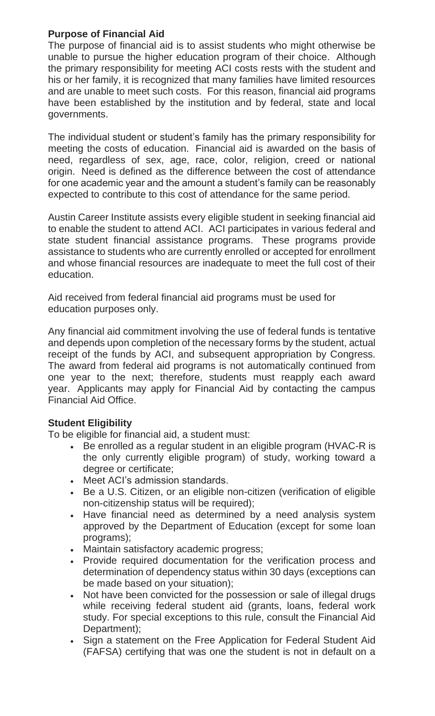### **Purpose of Financial Aid**

The purpose of financial aid is to assist students who might otherwise be unable to pursue the higher education program of their choice. Although the primary responsibility for meeting ACI costs rests with the student and his or her family, it is recognized that many families have limited resources and are unable to meet such costs. For this reason, financial aid programs have been established by the institution and by federal, state and local governments.

The individual student or student's family has the primary responsibility for meeting the costs of education. Financial aid is awarded on the basis of need, regardless of sex, age, race, color, religion, creed or national origin. Need is defined as the difference between the cost of attendance for one academic year and the amount a student's family can be reasonably expected to contribute to this cost of attendance for the same period.

Austin Career Institute assists every eligible student in seeking financial aid to enable the student to attend ACI. ACI participates in various federal and state student financial assistance programs. These programs provide assistance to students who are currently enrolled or accepted for enrollment and whose financial resources are inadequate to meet the full cost of their education.

Aid received from federal financial aid programs must be used for education purposes only.

Any financial aid commitment involving the use of federal funds is tentative and depends upon completion of the necessary forms by the student, actual receipt of the funds by ACI, and subsequent appropriation by Congress. The award from federal aid programs is not automatically continued from one year to the next; therefore, students must reapply each award year. Applicants may apply for Financial Aid by contacting the campus Financial Aid Office.

## **Student Eligibility**

To be eligible for financial aid, a student must:

- Be enrolled as a regular student in an eligible program (HVAC-R is the only currently eligible program) of study, working toward a degree or certificate;
- Meet ACI's admission standards.
- Be a U.S. Citizen, or an eligible non-citizen (verification of eligible non-citizenship status will be required);
- Have financial need as determined by a need analysis system approved by the Department of Education (except for some loan programs);
- Maintain satisfactory academic progress;
- Provide required documentation for the verification process and determination of dependency status within 30 days (exceptions can be made based on your situation);
- Not have been convicted for the possession or sale of illegal drugs while receiving federal student aid (grants, loans, federal work study. For special exceptions to this rule, consult the Financial Aid Department);
- Sign a statement on the Free Application for Federal Student Aid (FAFSA) certifying that was one the student is not in default on a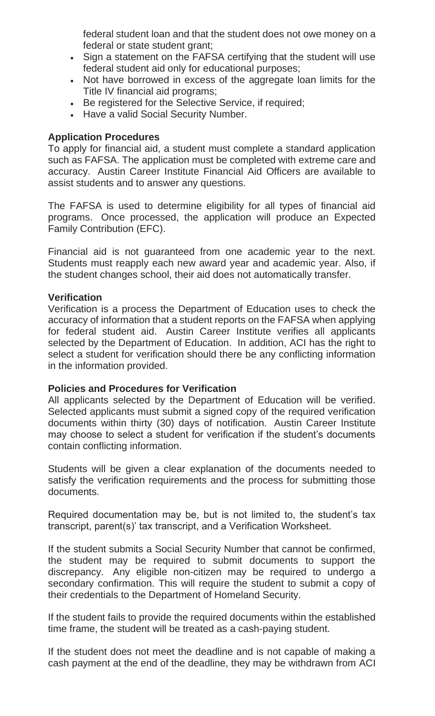federal student loan and that the student does not owe money on a federal or state student grant;

- Sign a statement on the FAFSA certifying that the student will use federal student aid only for educational purposes;
- Not have borrowed in excess of the aggregate loan limits for the Title IV financial aid programs;
- Be registered for the Selective Service, if required;
- Have a valid Social Security Number.

#### **Application Procedures**

To apply for financial aid, a student must complete a standard application such as FAFSA. The application must be completed with extreme care and accuracy. Austin Career Institute Financial Aid Officers are available to assist students and to answer any questions.

The FAFSA is used to determine eligibility for all types of financial aid programs. Once processed, the application will produce an Expected Family Contribution (EFC).

Financial aid is not guaranteed from one academic year to the next. Students must reapply each new award year and academic year. Also, if the student changes school, their aid does not automatically transfer.

#### **Verification**

Verification is a process the Department of Education uses to check the accuracy of information that a student reports on the FAFSA when applying for federal student aid. Austin Career Institute verifies all applicants selected by the Department of Education. In addition, ACI has the right to select a student for verification should there be any conflicting information in the information provided.

#### **Policies and Procedures for Verification**

All applicants selected by the Department of Education will be verified. Selected applicants must submit a signed copy of the required verification documents within thirty (30) days of notification. Austin Career Institute may choose to select a student for verification if the student's documents contain conflicting information.

Students will be given a clear explanation of the documents needed to satisfy the verification requirements and the process for submitting those documents.

Required documentation may be, but is not limited to, the student's tax transcript, parent(s)' tax transcript, and a Verification Worksheet.

If the student submits a Social Security Number that cannot be confirmed, the student may be required to submit documents to support the discrepancy. Any eligible non-citizen may be required to undergo a secondary confirmation. This will require the student to submit a copy of their credentials to the Department of Homeland Security.

If the student fails to provide the required documents within the established time frame, the student will be treated as a cash-paying student.

If the student does not meet the deadline and is not capable of making a cash payment at the end of the deadline, they may be withdrawn from ACI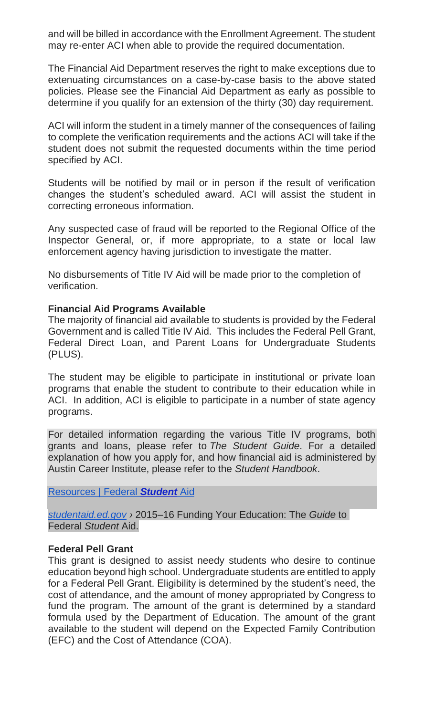and will be billed in accordance with the Enrollment Agreement. The student may re-enter ACI when able to provide the required documentation.

The Financial Aid Department reserves the right to make exceptions due to extenuating circumstances on a case-by-case basis to the above stated policies. Please see the Financial Aid Department as early as possible to determine if you qualify for an extension of the thirty (30) day requirement.

ACI will inform the student in a timely manner of the consequences of failing to complete the verification requirements and the actions ACI will take if the student does not submit the requested documents within the time period specified by ACI.

Students will be notified by mail or in person if the result of verification changes the student's scheduled award. ACI will assist the student in correcting erroneous information.

Any suspected case of fraud will be reported to the Regional Office of the Inspector General, or, if more appropriate, to a state or local law enforcement agency having jurisdiction to investigate the matter.

No disbursements of Title IV Aid will be made prior to the completion of verification.

#### **Financial Aid Programs Available**

The majority of financial aid available to students is provided by the Federal Government and is called Title IV Aid. This includes the Federal Pell Grant, Federal Direct Loan, and Parent Loans for Undergraduate Students (PLUS).

The student may be eligible to participate in institutional or private loan programs that enable the student to contribute to their education while in ACI. In addition, ACI is eligible to participate in a number of state agency programs.

For detailed information regarding the various Title IV programs, both grants and loans, please refer to *The Student Guide*. For a detailed explanation of how you apply for, and how financial aid is administered by Austin Career Institute, please refer to the *Student Handbook*.

[Resources | Federal](http://studentaid.ed.gov/resources) *Student* Aid

*[studentaid.ed.gov](http://studentaid.ed.gov/) ›* 2015–16 Funding Your Education: The *Guide* to Federal *Student* Aid.

#### **Federal Pell Grant**

This grant is designed to assist needy students who desire to continue education beyond high school. Undergraduate students are entitled to apply for a Federal Pell Grant. Eligibility is determined by the student's need, the cost of attendance, and the amount of money appropriated by Congress to fund the program. The amount of the grant is determined by a standard formula used by the Department of Education. The amount of the grant available to the student will depend on the Expected Family Contribution (EFC) and the Cost of Attendance (COA).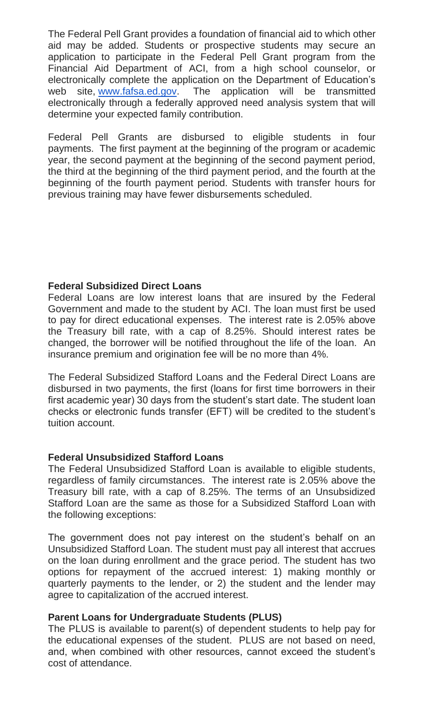The Federal Pell Grant provides a foundation of financial aid to which other aid may be added. Students or prospective students may secure an application to participate in the Federal Pell Grant program from the Financial Aid Department of ACI, from a high school counselor, or electronically complete the application on the Department of Education's web site, [www.fafsa.ed.gov.](http://www.fafsa.ed.gov/) The application will be transmitted electronically through a federally approved need analysis system that will determine your expected family contribution.

Federal Pell Grants are disbursed to eligible students in four payments. The first payment at the beginning of the program or academic year, the second payment at the beginning of the second payment period, the third at the beginning of the third payment period, and the fourth at the beginning of the fourth payment period. Students with transfer hours for previous training may have fewer disbursements scheduled.

### **Federal Subsidized Direct Loans**

Federal Loans are low interest loans that are insured by the Federal Government and made to the student by ACI. The loan must first be used to pay for direct educational expenses. The interest rate is 2.05% above the Treasury bill rate, with a cap of 8.25%. Should interest rates be changed, the borrower will be notified throughout the life of the loan. An insurance premium and origination fee will be no more than 4%.

The Federal Subsidized Stafford Loans and the Federal Direct Loans are disbursed in two payments, the first (loans for first time borrowers in their first academic year) 30 days from the student's start date. The student loan checks or electronic funds transfer (EFT) will be credited to the student's tuition account.

#### **Federal Unsubsidized Stafford Loans**

The Federal Unsubsidized Stafford Loan is available to eligible students, regardless of family circumstances. The interest rate is 2.05% above the Treasury bill rate, with a cap of 8.25%. The terms of an Unsubsidized Stafford Loan are the same as those for a Subsidized Stafford Loan with the following exceptions:

The government does not pay interest on the student's behalf on an Unsubsidized Stafford Loan. The student must pay all interest that accrues on the loan during enrollment and the grace period. The student has two options for repayment of the accrued interest: 1) making monthly or quarterly payments to the lender, or 2) the student and the lender may agree to capitalization of the accrued interest.

#### **Parent Loans for Undergraduate Students (PLUS)**

The PLUS is available to parent(s) of dependent students to help pay for the educational expenses of the student. PLUS are not based on need, and, when combined with other resources, cannot exceed the student's cost of attendance.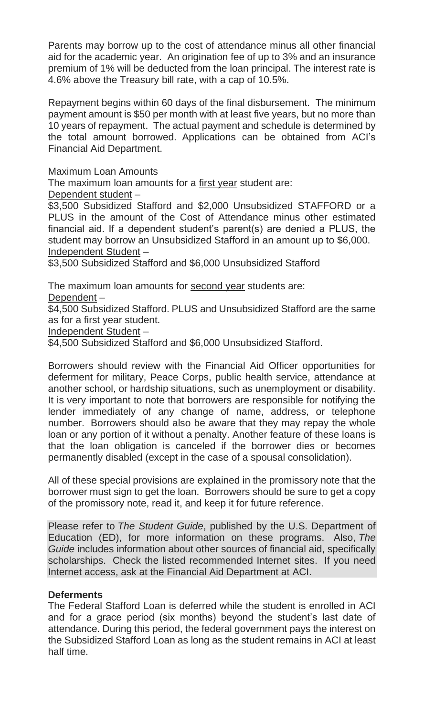Parents may borrow up to the cost of attendance minus all other financial aid for the academic year. An origination fee of up to 3% and an insurance premium of 1% will be deducted from the loan principal. The interest rate is 4.6% above the Treasury bill rate, with a cap of 10.5%.

Repayment begins within 60 days of the final disbursement. The minimum payment amount is \$50 per month with at least five years, but no more than 10 years of repayment. The actual payment and schedule is determined by the total amount borrowed. Applications can be obtained from ACI's Financial Aid Department.

Maximum Loan Amounts

The maximum loan amounts for a first year student are:

Dependent student –

\$3,500 Subsidized Stafford and \$2,000 Unsubsidized STAFFORD or a PLUS in the amount of the Cost of Attendance minus other estimated financial aid. If a dependent student's parent(s) are denied a PLUS, the student may borrow an Unsubsidized Stafford in an amount up to \$6,000. Independent Student –

\$3,500 Subsidized Stafford and \$6,000 Unsubsidized Stafford

The maximum loan amounts for second year students are:

Dependent –

\$4,500 Subsidized Stafford. PLUS and Unsubsidized Stafford are the same as for a first year student.

Independent Student –

\$4,500 Subsidized Stafford and \$6,000 Unsubsidized Stafford.

Borrowers should review with the Financial Aid Officer opportunities for deferment for military, Peace Corps, public health service, attendance at another school, or hardship situations, such as unemployment or disability. It is very important to note that borrowers are responsible for notifying the lender immediately of any change of name, address, or telephone number. Borrowers should also be aware that they may repay the whole loan or any portion of it without a penalty. Another feature of these loans is that the loan obligation is canceled if the borrower dies or becomes permanently disabled (except in the case of a spousal consolidation).

All of these special provisions are explained in the promissory note that the borrower must sign to get the loan. Borrowers should be sure to get a copy of the promissory note, read it, and keep it for future reference.

Please refer to *The Student Guide*, published by the U.S. Department of Education (ED), for more information on these programs. Also, *The Guide* includes information about other sources of financial aid, specifically scholarships. Check the listed recommended Internet sites. If you need Internet access, ask at the Financial Aid Department at ACI.

### **Deferments**

The Federal Stafford Loan is deferred while the student is enrolled in ACI and for a grace period (six months) beyond the student's last date of attendance. During this period, the federal government pays the interest on the Subsidized Stafford Loan as long as the student remains in ACI at least half time.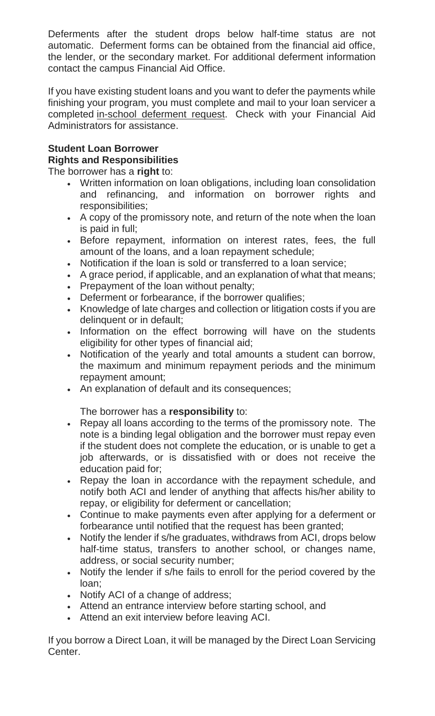Deferments after the student drops below half-time status are not automatic. Deferment forms can be obtained from the financial aid office, the lender, or the secondary market. For additional deferment information contact the campus Financial Aid Office.

If you have existing student loans and you want to defer the payments while finishing your program, you must complete and mail to your loan servicer a completed in-school deferment request. Check with your Financial Aid Administrators for assistance.

### **Student Loan Borrower Rights and Responsibilities**

The borrower has a **right** to:

- Written information on loan obligations, including loan consolidation and refinancing, and information on borrower rights and responsibilities;
- A copy of the promissory note, and return of the note when the loan is paid in full;
- Before repayment, information on interest rates, fees, the full amount of the loans, and a loan repayment schedule;
- Notification if the loan is sold or transferred to a loan service;
- A grace period, if applicable, and an explanation of what that means;
- Prepayment of the loan without penalty;
- Deferment or forbearance, if the borrower qualifies;
- Knowledge of late charges and collection or litigation costs if you are delinquent or in default;
- Information on the effect borrowing will have on the students eligibility for other types of financial aid;
- Notification of the yearly and total amounts a student can borrow, the maximum and minimum repayment periods and the minimum repayment amount;
- An explanation of default and its consequences;

The borrower has a **responsibility** to:

- Repay all loans according to the terms of the promissory note. The note is a binding legal obligation and the borrower must repay even if the student does not complete the education, or is unable to get a job afterwards, or is dissatisfied with or does not receive the education paid for;
- Repay the loan in accordance with the repayment schedule, and notify both ACI and lender of anything that affects his/her ability to repay, or eligibility for deferment or cancellation;
- Continue to make payments even after applying for a deferment or forbearance until notified that the request has been granted;
- Notify the lender if s/he graduates, withdraws from ACI, drops below half-time status, transfers to another school, or changes name, address, or social security number;
- Notify the lender if s/he fails to enroll for the period covered by the loan;
- Notify ACI of a change of address;
- Attend an entrance interview before starting school, and
- Attend an exit interview before leaving ACI.

If you borrow a Direct Loan, it will be managed by the Direct Loan Servicing Center.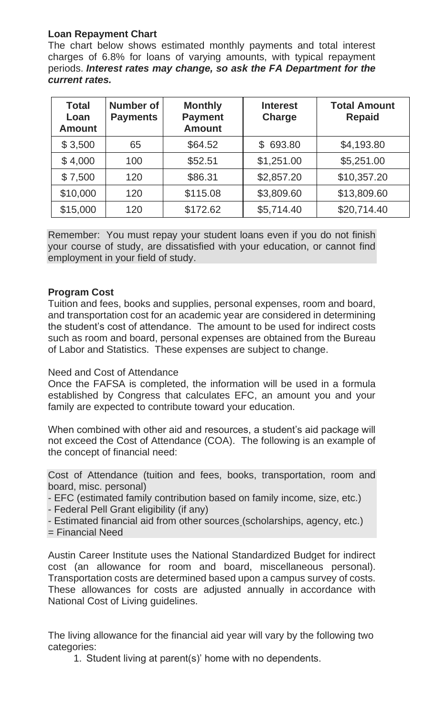## **Loan Repayment Chart**

The chart below shows estimated monthly payments and total interest charges of 6.8% for loans of varying amounts, with typical repayment periods. *Interest rates may change, so ask the FA Department for the current rates.*

| <b>Total</b><br>Loan<br><b>Amount</b> | <b>Number of</b><br><b>Payments</b> | <b>Monthly</b><br><b>Payment</b><br><b>Amount</b> | <b>Interest</b><br><b>Charge</b> | <b>Total Amount</b><br><b>Repaid</b> |
|---------------------------------------|-------------------------------------|---------------------------------------------------|----------------------------------|--------------------------------------|
| \$3,500                               | 65                                  | \$64.52                                           | \$693.80                         | \$4,193.80                           |
| \$4,000                               | 100                                 | \$52.51                                           | \$1,251.00                       | \$5,251.00                           |
| \$7,500                               | 120                                 | \$86.31                                           | \$2,857.20                       | \$10,357.20                          |
| \$10,000                              | 120                                 | \$115.08                                          | \$3,809.60                       | \$13,809.60                          |
| \$15,000                              | 120                                 | \$172.62                                          | \$5,714.40                       | \$20,714.40                          |

Remember: You must repay your student loans even if you do not finish your course of study, are dissatisfied with your education, or cannot find employment in your field of study.

### **Program Cost**

Tuition and fees, books and supplies, personal expenses, room and board, and transportation cost for an academic year are considered in determining the student's cost of attendance. The amount to be used for indirect costs such as room and board, personal expenses are obtained from the Bureau of Labor and Statistics. These expenses are subject to change.

### Need and Cost of Attendance

Once the FAFSA is completed, the information will be used in a formula established by Congress that calculates EFC, an amount you and your family are expected to contribute toward your education.

When combined with other aid and resources, a student's aid package will not exceed the Cost of Attendance (COA). The following is an example of the concept of financial need:

Cost of Attendance (tuition and fees, books, transportation, room and board, misc. personal)

- EFC (estimated family contribution based on family income, size, etc.)
- Federal Pell Grant eligibility (if any)
- Estimated financial aid from other sources (scholarships, agency, etc.)
- = Financial Need

Austin Career Institute uses the National Standardized Budget for indirect cost (an allowance for room and board, miscellaneous personal). Transportation costs are determined based upon a campus survey of costs. These allowances for costs are adjusted annually in accordance with National Cost of Living guidelines.

The living allowance for the financial aid year will vary by the following two categories:

1. Student living at parent(s)' home with no dependents.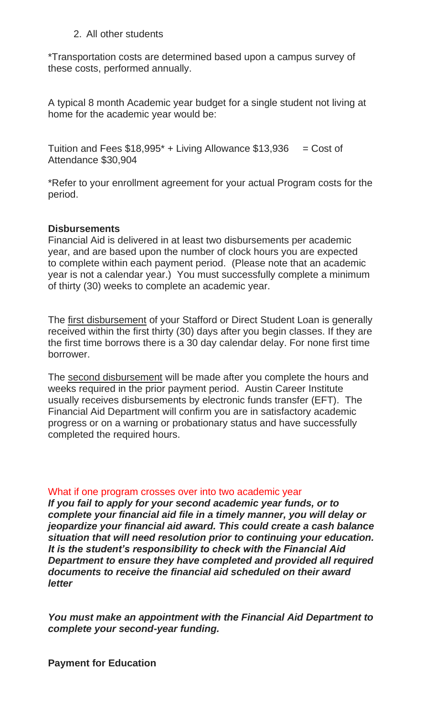#### 2. All other students

\*Transportation costs are determined based upon a campus survey of these costs, performed annually.

A typical 8 month Academic year budget for a single student not living at home for the academic year would be:

Tuition and Fees  $$18,995$ <sup>\*</sup> + Living Allowance  $$13,936$  = Cost of Attendance \$30,904

\*Refer to your enrollment agreement for your actual Program costs for the period.

#### **Disbursements**

Financial Aid is delivered in at least two disbursements per academic year, and are based upon the number of clock hours you are expected to complete within each payment period. (Please note that an academic year is not a calendar year.) You must successfully complete a minimum of thirty (30) weeks to complete an academic year.

The first disbursement of your Stafford or Direct Student Loan is generally received within the first thirty (30) days after you begin classes. If they are the first time borrows there is a 30 day calendar delay. For none first time borrower.

The second disbursement will be made after you complete the hours and weeks required in the prior payment period. Austin Career Institute usually receives disbursements by electronic funds transfer (EFT). The Financial Aid Department will confirm you are in satisfactory academic progress or on a warning or probationary status and have successfully completed the required hours.

#### What if one program crosses over into two academic year

*If you fail to apply for your second academic year funds, or to complete your financial aid file in a timely manner, you will delay or jeopardize your financial aid award. This could create a cash balance situation that will need resolution prior to continuing your education. It is the student's responsibility to check with the Financial Aid Department to ensure they have completed and provided all required documents to receive the financial aid scheduled on their award letter*

*You must make an appointment with the Financial Aid Department to complete your second-year funding.*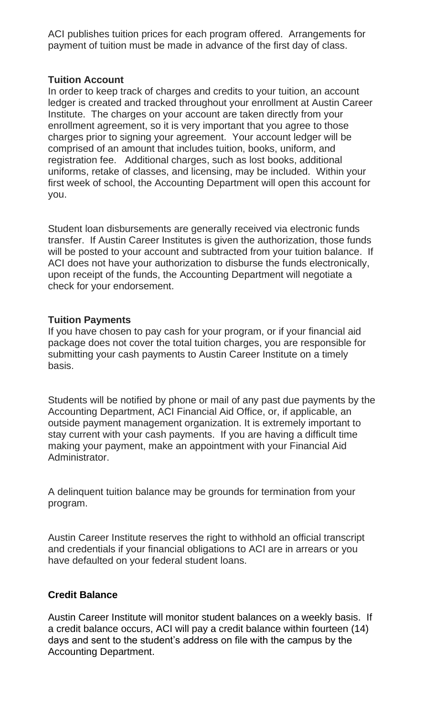ACI publishes tuition prices for each program offered. Arrangements for payment of tuition must be made in advance of the first day of class.

#### **Tuition Account**

In order to keep track of charges and credits to your tuition, an account ledger is created and tracked throughout your enrollment at Austin Career Institute. The charges on your account are taken directly from your enrollment agreement, so it is very important that you agree to those charges prior to signing your agreement. Your account ledger will be comprised of an amount that includes tuition, books, uniform, and registration fee. Additional charges, such as lost books, additional uniforms, retake of classes, and licensing, may be included. Within your first week of school, the Accounting Department will open this account for you.

Student loan disbursements are generally received via electronic funds transfer. If Austin Career Institutes is given the authorization, those funds will be posted to your account and subtracted from your tuition balance. If ACI does not have your authorization to disburse the funds electronically, upon receipt of the funds, the Accounting Department will negotiate a check for your endorsement.

### **Tuition Payments**

If you have chosen to pay cash for your program, or if your financial aid package does not cover the total tuition charges, you are responsible for submitting your cash payments to Austin Career Institute on a timely basis.

Students will be notified by phone or mail of any past due payments by the Accounting Department, ACI Financial Aid Office, or, if applicable, an outside payment management organization. It is extremely important to stay current with your cash payments. If you are having a difficult time making your payment, make an appointment with your Financial Aid Administrator.

A delinquent tuition balance may be grounds for termination from your program.

Austin Career Institute reserves the right to withhold an official transcript and credentials if your financial obligations to ACI are in arrears or you have defaulted on your federal student loans.

### **Credit Balance**

Austin Career Institute will monitor student balances on a weekly basis. If a credit balance occurs, ACI will pay a credit balance within fourteen (14) days and sent to the student's address on file with the campus by the Accounting Department.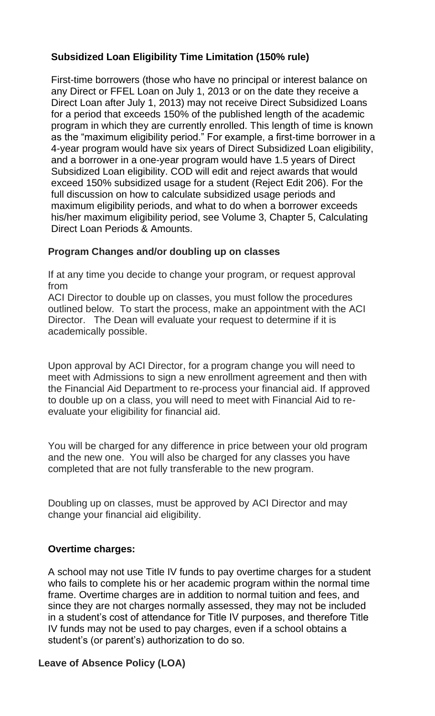## **Subsidized Loan Eligibility Time Limitation (150% rule)**

First-time borrowers (those who have no principal or interest balance on any Direct or FFEL Loan on July 1, 2013 or on the date they receive a Direct Loan after July 1, 2013) may not receive Direct Subsidized Loans for a period that exceeds 150% of the published length of the academic program in which they are currently enrolled. This length of time is known as the "maximum eligibility period." For example, a first-time borrower in a 4-year program would have six years of Direct Subsidized Loan eligibility, and a borrower in a one-year program would have 1.5 years of Direct Subsidized Loan eligibility. COD will edit and reject awards that would exceed 150% subsidized usage for a student (Reject Edit 206). For the full discussion on how to calculate subsidized usage periods and maximum eligibility periods, and what to do when a borrower exceeds his/her maximum eligibility period, see Volume 3, Chapter 5, Calculating Direct Loan Periods & Amounts.

### **Program Changes and/or doubling up on classes**

If at any time you decide to change your program, or request approval from

ACI Director to double up on classes, you must follow the procedures outlined below. To start the process, make an appointment with the ACI Director. The Dean will evaluate your request to determine if it is academically possible.

Upon approval by ACI Director, for a program change you will need to meet with Admissions to sign a new enrollment agreement and then with the Financial Aid Department to re-process your financial aid. If approved to double up on a class, you will need to meet with Financial Aid to reevaluate your eligibility for financial aid.

You will be charged for any difference in price between your old program and the new one. You will also be charged for any classes you have completed that are not fully transferable to the new program.

Doubling up on classes, must be approved by ACI Director and may change your financial aid eligibility.

### **Overtime charges:**

A school may not use Title IV funds to pay overtime charges for a student who fails to complete his or her academic program within the normal time frame. Overtime charges are in addition to normal tuition and fees, and since they are not charges normally assessed, they may not be included in a student's cost of attendance for Title IV purposes, and therefore Title IV funds may not be used to pay charges, even if a school obtains a student's (or parent's) authorization to do so.

### **Leave of Absence Policy (LOA)**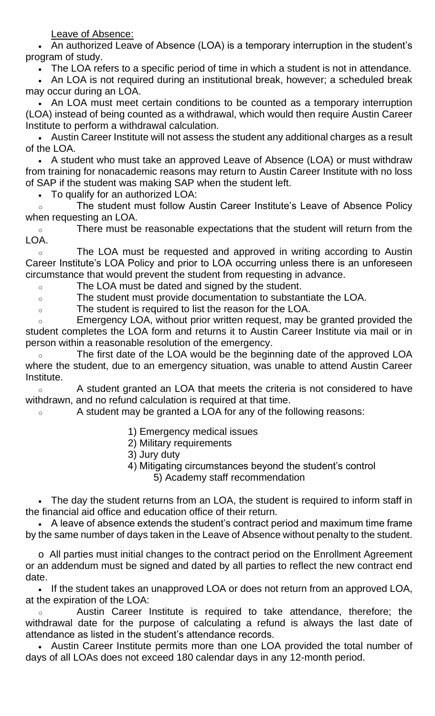Leave of Absence:

• An authorized Leave of Absence (LOA) is a temporary interruption in the student's program of study.

• The LOA refers to a specific period of time in which a student is not in attendance.

• An LOA is not required during an institutional break, however; a scheduled break may occur during an LOA.

• An LOA must meet certain conditions to be counted as a temporary interruption (LOA) instead of being counted as a withdrawal, which would then require Austin Career Institute to perform a withdrawal calculation.

• Austin Career Institute will not assess the student any additional charges as a result of the LOA.

• A student who must take an approved Leave of Absence (LOA) or must withdraw from training for nonacademic reasons may return to Austin Career Institute with no loss of SAP if the student was making SAP when the student left.

• To qualify for an authorized LOA:

o The student must follow Austin Career Institute's Leave of Absence Policy when requesting an LOA.

o There must be reasonable expectations that the student will return from the LOA.

o The LOA must be requested and approved in writing according to Austin Career Institute's LOA Policy and prior to LOA occurring unless there is an unforeseen circumstance that would prevent the student from requesting in advance.

o The LOA must be dated and signed by the student.

o The student must provide documentation to substantiate the LOA.

o The student is required to list the reason for the LOA.

o Emergency LOA, without prior written request, may be granted provided the student completes the LOA form and returns it to Austin Career Institute via mail or in person within a reasonable resolution of the emergency.

The first date of the LOA would be the beginning date of the approved LOA where the student, due to an emergency situation, was unable to attend Austin Career Institute.

o A student granted an LOA that meets the criteria is not considered to have withdrawn, and no refund calculation is required at that time.

o A student may be granted a LOA for any of the following reasons:

- 1) Emergency medical issues
- 2) Military requirements
- 3) Jury duty
- 4) Mitigating circumstances beyond the student's control 5) Academy staff recommendation

• The day the student returns from an LOA, the student is required to inform staff in the financial aid office and education office of their return.

• A leave of absence extends the student's contract period and maximum time frame by the same number of days taken in the Leave of Absence without penalty to the student.

o All parties must initial changes to the contract period on the Enrollment Agreement or an addendum must be signed and dated by all parties to reflect the new contract end date.

• If the student takes an unapproved LOA or does not return from an approved LOA, at the expiration of the LOA:

o Austin Career Institute is required to take attendance, therefore; the withdrawal date for the purpose of calculating a refund is always the last date of attendance as listed in the student's attendance records.

• Austin Career Institute permits more than one LOA provided the total number of days of all LOAs does not exceed 180 calendar days in any 12-month period.